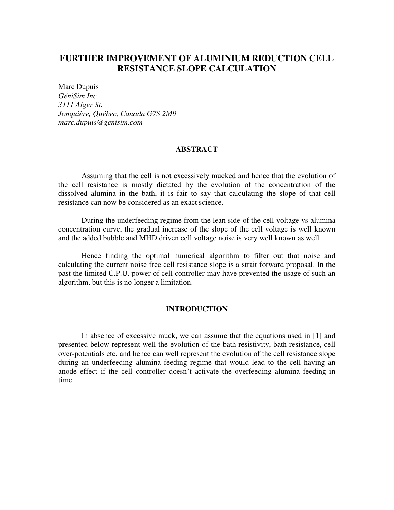# **FURTHER IMPROVEMENT OF ALUMINIUM REDUCTION CELL RESISTANCE SLOPE CALCULATION**

Marc Dupuis *GéniSim Inc. 3111 Alger St. Jonquière, Québec, Canada G7S 2M9 marc.dupuis@genisim.com* 

## **ABSTRACT**

Assuming that the cell is not excessively mucked and hence that the evolution of the cell resistance is mostly dictated by the evolution of the concentration of the dissolved alumina in the bath, it is fair to say that calculating the slope of that cell resistance can now be considered as an exact science.

During the underfeeding regime from the lean side of the cell voltage vs alumina concentration curve, the gradual increase of the slope of the cell voltage is well known and the added bubble and MHD driven cell voltage noise is very well known as well.

Hence finding the optimal numerical algorithm to filter out that noise and calculating the current noise free cell resistance slope is a strait forward proposal. In the past the limited C.P.U. power of cell controller may have prevented the usage of such an algorithm, but this is no longer a limitation.

### **INTRODUCTION**

In absence of excessive muck, we can assume that the equations used in [1] and presented below represent well the evolution of the bath resistivity, bath resistance, cell over-potentials etc. and hence can well represent the evolution of the cell resistance slope during an underfeeding alumina feeding regime that would lead to the cell having an anode effect if the cell controller doesn't activate the overfeeding alumina feeding in time.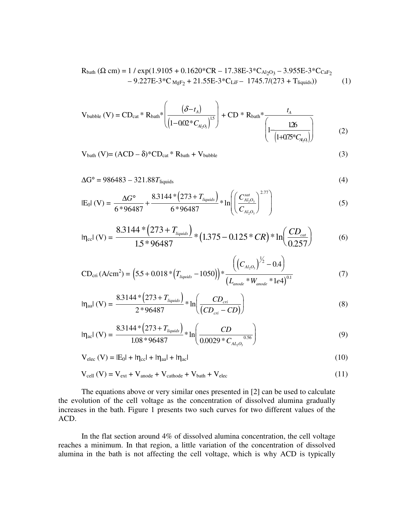$$
R_{\text{bath}} (\Omega \text{ cm}) = 1 / \exp(1.9105 + 0.1620 \text{ °C} \text{R} - 17.38 \text{ E} - 3 \text{ °C} \text{A}_{2\text{O}_3} - 3.955 \text{ E} - 3 \text{ °C} \text{C}_{\text{a}F_2} - 9.227 \text{ E} - 3 \text{ °C} \text{MgF}_2 + 21.55 \text{ E} - 3 \text{ °C} \text{LiF} - 1745.7/(273 + T_{\text{liquids}}))
$$
(1)

$$
V_{\text{bubble}} (V) = CD_{\text{cat}} * R_{\text{bath}} * \left( \frac{(\delta - t_A)}{(1 - 0.02 * C_{A_2 O_3})^{15}} \right) + CD * R_{\text{bath}} * \frac{t_A}{\left( 1 - \frac{126}{(1 + 0.75 * C_{A_2 O_3})} \right)}
$$
(2)

 $V_{\text{bath}} (V) = (ACD - \delta)^* CD_{\text{cat}} * R_{\text{bath}} + V_{\text{bubble}}$  (3)

$$
\Delta G^{\circ} = 986483 - 321.88T_{\text{liquids}} \tag{4}
$$

$$
|E_0| (V) = \frac{\Delta G^{\circ}}{6 * 96487} + \frac{8.3144 * (273 + T_{liquids})}{6 * 96487} * \ln \left( \left( \frac{C_{Al_2O_3}^{sat}}{C_{Al_2O_3}} \right)^{2.77} \right)
$$
(5)

$$
\ln_{\text{cc}}(V) = \frac{8.3144 * (273 + T_{\text{liquids}})}{1.5 * 96487} * (1.375 - 0.125 * CR) * \ln\left(\frac{CD_{\text{cat}}}{0.257}\right) \tag{6}
$$

$$
CD_{\text{cri}}\left(A/\text{cm}^2\right) = \left(5.5 + 0.018 * \left(T_{liquids} - 1050\right)\right) * \frac{\left(\left(C_{Al_2O_3}\right)^{\frac{1}{2}} - 0.4\right)}{\left(L_{\text{anode}} * W_{\text{anode}} * 1e4\right)^{0.1}}\tag{7}
$$

$$
ln_{\text{aal}}(V) = \frac{8.3144 * (273 + T_{\text{liquids}})}{2 * 96487} * ln\left(\frac{CD_{\text{cri}}}{(CD_{\text{cri}} - CD)}\right)
$$
(8)

$$
|\eta_{\text{ac}}| \text{ (V)} = \frac{8.3144 \times (273 + T_{\text{liquids}})}{1.08 \times 96487} \times \ln\left(\frac{CD}{0.0029 \times C_{\text{AL}_2O_3}}\right) \tag{9}
$$

$$
V_{elec} (V) = |E_0| + |\eta_{cc}| + |\eta_{aa}| + |\eta_{ac}| \tag{10}
$$

$$
V_{cell} (V) = V_{ext} + V_{anode} + V_{cathode} + V_{bath} + V_{elec}
$$
 (11)

The equations above or very similar ones presented in [2] can be used to calculate the evolution of the cell voltage as the concentration of dissolved alumina gradually increases in the bath. Figure 1 presents two such curves for two different values of the ACD.

In the flat section around 4% of dissolved alumina concentration, the cell voltage reaches a minimum. In that region, a little variation of the concentration of dissolved alumina in the bath is not affecting the cell voltage, which is why ACD is typically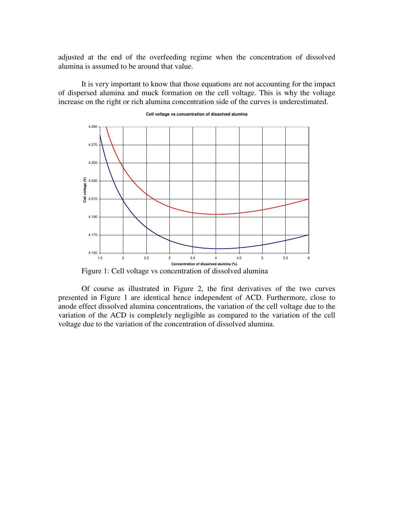adjusted at the end of the overfeeding regime when the concentration of dissolved alumina is assumed to be around that value.

It is very important to know that those equations are not accounting for the impact of dispersed alumina and muck formation on the cell voltage. This is why the voltage increase on the right or rich alumina concentration side of the curves is underestimated.



#### **Cell voltage vs concentration of dissolved alumina**

Figure 1: Cell voltage vs concentration of dissolved alumina

Of course as illustrated in Figure 2, the first derivatives of the two curves presented in Figure 1 are identical hence independent of ACD. Furthermore, close to anode effect dissolved alumina concentrations, the variation of the cell voltage due to the variation of the ACD is completely negligible as compared to the variation of the cell voltage due to the variation of the concentration of dissolved alumina.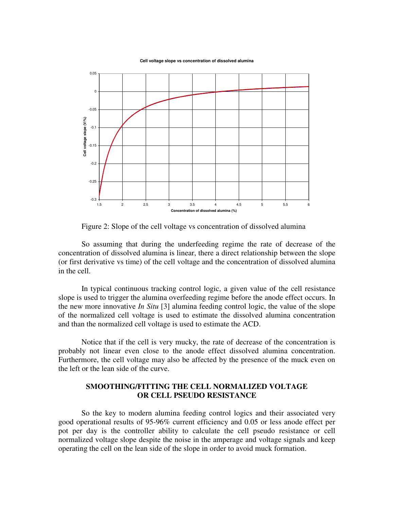**Cell voltage slope vs concentration of dissolved alumina**



Figure 2: Slope of the cell voltage vs concentration of dissolved alumina

So assuming that during the underfeeding regime the rate of decrease of the concentration of dissolved alumina is linear, there a direct relationship between the slope (or first derivative vs time) of the cell voltage and the concentration of dissolved alumina in the cell.

In typical continuous tracking control logic, a given value of the cell resistance slope is used to trigger the alumina overfeeding regime before the anode effect occurs. In the new more innovative *In Situ* [3] alumina feeding control logic, the value of the slope of the normalized cell voltage is used to estimate the dissolved alumina concentration and than the normalized cell voltage is used to estimate the ACD.

Notice that if the cell is very mucky, the rate of decrease of the concentration is probably not linear even close to the anode effect dissolved alumina concentration. Furthermore, the cell voltage may also be affected by the presence of the muck even on the left or the lean side of the curve.

## **SMOOTHING/FITTING THE CELL NORMALIZED VOLTAGE OR CELL PSEUDO RESISTANCE**

So the key to modern alumina feeding control logics and their associated very good operational results of 95-96% current efficiency and 0.05 or less anode effect per pot per day is the controller ability to calculate the cell pseudo resistance or cell normalized voltage slope despite the noise in the amperage and voltage signals and keep operating the cell on the lean side of the slope in order to avoid muck formation.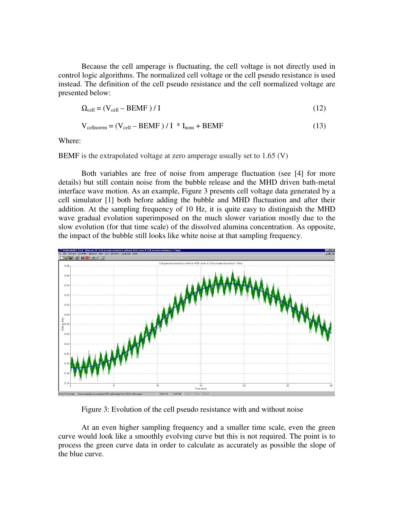Because the cell amperage is fluctuating, the cell voltage is not directly used in control logic algorithms. The normalized cell voltage or the cell pseudo resistance is used instead. The definition of the cell pseudo resistance and the cell normalized voltage are presented below:

$$
\Omega_{cell} = (V_{cell} - BEMF) / I \tag{12}
$$

$$
V_{cellnorm} = (V_{cell} - BEMF) / I * I_{nom} + BEMF
$$
 (13)

Where:

BEMF is the extrapolated voltage at zero amperage usually set to 1.65 (V)

Both variables are free of noise from amperage fluctuation (see [4] for more details) but still contain noise from the bubble release and the MHD driven bath-metal interface wave motion. As an example, Figure 3 presents cell voltage data generated by a cell simulator [1] both before adding the bubble and MHD fluctuation and after their addition. At the sampling frequency of 10 Hz, it is quite easy to distinguish the MHD wave gradual evolution superimposed on the much slower variation mostly due to the slow evolution (for that time scale) of the dissolved alumina concentration. As opposite, the impact of the bubble still looks like white noise at that sampling frequency.



Figure 3: Evolution of the cell pseudo resistance with and without noise

At an even higher sampling frequency and a smaller time scale, even the green curve would look like a smoothly evolving curve but this is not required. The point is to process the green curve data in order to calculate as accurately as possible the slope of the blue curve.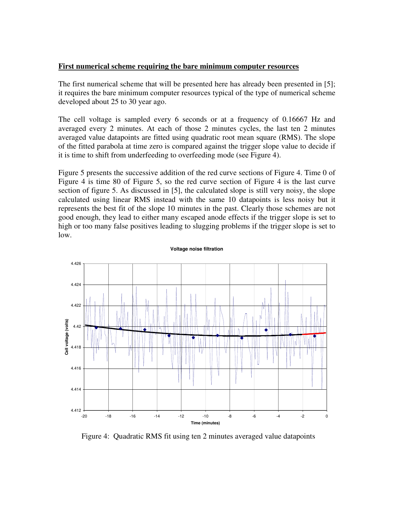### **First numerical scheme requiring the bare minimum computer resources**

The first numerical scheme that will be presented here has already been presented in [5]; it requires the bare minimum computer resources typical of the type of numerical scheme developed about 25 to 30 year ago.

The cell voltage is sampled every 6 seconds or at a frequency of 0.16667 Hz and averaged every 2 minutes. At each of those 2 minutes cycles, the last ten 2 minutes averaged value datapoints are fitted using quadratic root mean square (RMS). The slope of the fitted parabola at time zero is compared against the trigger slope value to decide if it is time to shift from underfeeding to overfeeding mode (see Figure 4).

Figure 5 presents the successive addition of the red curve sections of Figure 4. Time 0 of Figure 4 is time 80 of Figure 5, so the red curve section of Figure 4 is the last curve section of figure 5. As discussed in [5], the calculated slope is still very noisy, the slope calculated using linear RMS instead with the same 10 datapoints is less noisy but it represents the best fit of the slope 10 minutes in the past. Clearly those schemes are not good enough, they lead to either many escaped anode effects if the trigger slope is set to high or too many false positives leading to slugging problems if the trigger slope is set to low.



**Voltage noise filtration**

Figure 4: Quadratic RMS fit using ten 2 minutes averaged value datapoints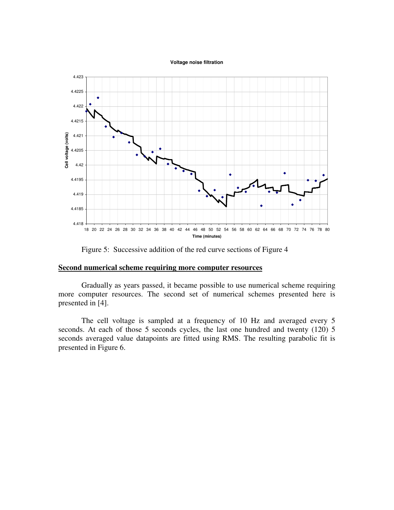**Voltage noise filtration**



Figure 5: Successive addition of the red curve sections of Figure 4

#### **Second numerical scheme requiring more computer resources**

Gradually as years passed, it became possible to use numerical scheme requiring more computer resources. The second set of numerical schemes presented here is presented in [4].

The cell voltage is sampled at a frequency of 10 Hz and averaged every 5 seconds. At each of those 5 seconds cycles, the last one hundred and twenty (120) 5 seconds averaged value datapoints are fitted using RMS. The resulting parabolic fit is presented in Figure 6.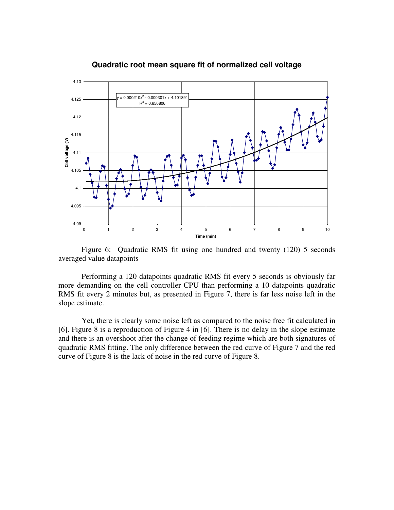

### **Quadratic root mean square fit of normalized cell voltage**

Figure 6: Quadratic RMS fit using one hundred and twenty (120) 5 seconds averaged value datapoints

Performing a 120 datapoints quadratic RMS fit every 5 seconds is obviously far more demanding on the cell controller CPU than performing a 10 datapoints quadratic RMS fit every 2 minutes but, as presented in Figure 7, there is far less noise left in the slope estimate.

Yet, there is clearly some noise left as compared to the noise free fit calculated in [6]. Figure 8 is a reproduction of Figure 4 in [6]. There is no delay in the slope estimate and there is an overshoot after the change of feeding regime which are both signatures of quadratic RMS fitting. The only difference between the red curve of Figure 7 and the red curve of Figure 8 is the lack of noise in the red curve of Figure 8.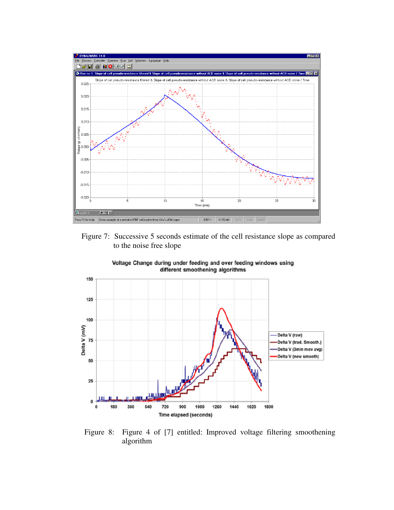

Figure 7: Successive 5 seconds estimate of the cell resistance slope as compared to the noise free slope



Voltage Change during under feeding and over feeding windows using different smoothening algorithms

Figure 8: Figure 4 of [7] entitled: Improved voltage filtering smoothening algorithm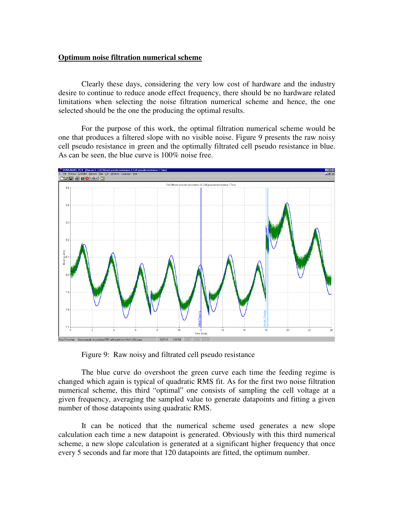### **Optimum noise filtration numerical scheme**

Clearly these days, considering the very low cost of hardware and the industry desire to continue to reduce anode effect frequency, there should be no hardware related limitations when selecting the noise filtration numerical scheme and hence, the one selected should be the one the producing the optimal results.

For the purpose of this work, the optimal filtration numerical scheme would be one that produces a filtered slope with no visible noise. Figure 9 presents the raw noisy cell pseudo resistance in green and the optimally filtrated cell pseudo resistance in blue. As can be seen, the blue curve is 100% noise free.



Figure 9: Raw noisy and filtrated cell pseudo resistance

The blue curve do overshoot the green curve each time the feeding regime is changed which again is typical of quadratic RMS fit. As for the first two noise filtration numerical scheme, this third "optimal" one consists of sampling the cell voltage at a given frequency, averaging the sampled value to generate datapoints and fitting a given number of those datapoints using quadratic RMS.

It can be noticed that the numerical scheme used generates a new slope calculation each time a new datapoint is generated. Obviously with this third numerical scheme, a new slope calculation is generated at a significant higher frequency that once every 5 seconds and far more that 120 datapoints are fitted, the optimum number.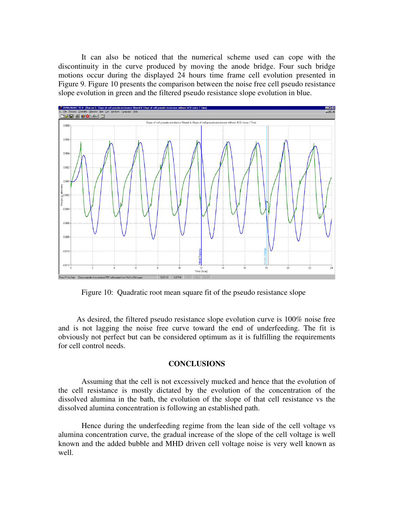It can also be noticed that the numerical scheme used can cope with the discontinuity in the curve produced by moving the anode bridge. Four such bridge motions occur during the displayed 24 hours time frame cell evolution presented in Figure 9. Figure 10 presents the comparison between the noise free cell pseudo resistance slope evolution in green and the filtered pseudo resistance slope evolution in blue.



Figure 10: Quadratic root mean square fit of the pseudo resistance slope

As desired, the filtered pseudo resistance slope evolution curve is 100% noise free and is not lagging the noise free curve toward the end of underfeeding. The fit is obviously not perfect but can be considered optimum as it is fulfilling the requirements for cell control needs.

#### **CONCLUSIONS**

Assuming that the cell is not excessively mucked and hence that the evolution of the cell resistance is mostly dictated by the evolution of the concentration of the dissolved alumina in the bath, the evolution of the slope of that cell resistance vs the dissolved alumina concentration is following an established path.

Hence during the underfeeding regime from the lean side of the cell voltage vs alumina concentration curve, the gradual increase of the slope of the cell voltage is well known and the added bubble and MHD driven cell voltage noise is very well known as well.